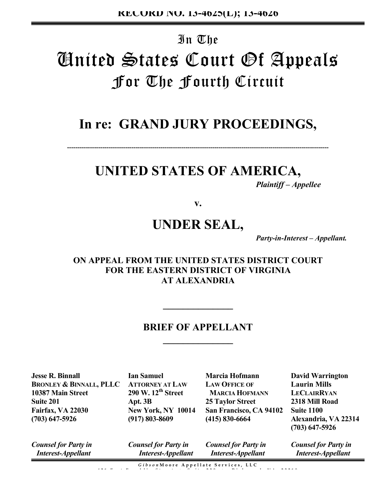# In The **'Anited States Court Of Appeals** For The Fourth Circuit

# **In re: GRAND JURY PROCEEDINGS,**

**------------------------------------------------------------------------------------------------------------------------------**

# **UNITED STATES OF AMERICA,**

 *Plaintiff – Appellee* 

**v.**

# **UNDER SEAL,**

*Party-in-Interest – Appellant.* 

# **ON APPEAL FROM THE UNITED STATES DISTRICT COURT FOR THE EASTERN DISTRICT OF VIRGINIA AT ALEXANDRIA**

# **BRIEF OF APPELLANT \_\_\_\_\_\_\_\_\_\_\_\_\_\_**

**\_\_\_\_\_\_\_\_\_\_\_\_\_\_**

**Jesse R. Binnall BRONLEY & BINNALL, PLLC 10387 Main Street Suite 201 Fairfax, VA 22030 (703) 647-5926**

**Ian Samuel ATTORNEY AT LAW 290 W. 12th Street Apt. 3B New York, NY 10014 (917) 803-8609**

**Marcia Hofmann LAW OFFICE OF MARCIA HOFMANN 25 Taylor Street San Francisco, CA 94102 Suite 1100 (415) 830-6664**

**David Warrington Laurin Mills LECLAIRRYAN 2318 Mill Road Alexandria, VA 22314 (703) 647-5926**

*Counsel for Party in Interest-Appellant*

*Counsel for Party in Interest-Appellant* *Counsel for Party in Interest-Appellant*

*Counsel for Party in Interest-Appellant*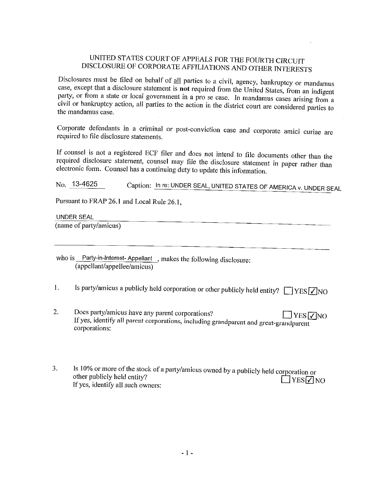# UNITED STATES COURT OF APPEALS FOR THE FOURTH CIRCUIT DISCLOSURE OF CORPORATE AFFILIATIONS AND OTHER INTERESTS

Disclosures must be filed on behalf of all parties to a civil, agency, bankruptcy or mandamus case, except that a disclosure statement is not required from the United States, from an indigent party, or from a state or local government in a pro se case. In mandamus cases arising from a civil or bankruptcy action, all parties to the action in the district court are considered parties to the mandamus case.

Corporate defendants in a criminal or post-conviction case and corporate amici curiae are required to file disclosure statements.

If counsel is not a registered ECF filer and does not intend to file documents other than the required disclosure statement, counsel may file the disclosure statement in paper rather than electronic form. Counsel has a continuing duty to update this information.

Caption: In re: UNDER SEAL, UNITED STATES OF AMERICA v. UNDER SEAL No. 13-4625

Pursuant to FRAP 26.1 and Local Rule 26.1,

**UNDER SEAL** 

(name of party/amicus)

who is Party-in-Interest-Appellant, makes the following disclosure: (appellant/appellee/amicus)

Is party/amicus a publicly held corporation or other publicly held entity?  $\Box$  YES  $\Box$  NO  $1.$ 

- 2. Does party/amicus have any parent corporations?  $JYES$   $\sqrt{NQ}$ If yes, identify all parent corporations, including grandparent and great-grandparent corporations:
- Is 10% or more of the stock of a party/amicus owned by a publicly held corporation or 3. other publicly held entity?  $\Box$ YES $\Box$ NO If yes, identify all such owners: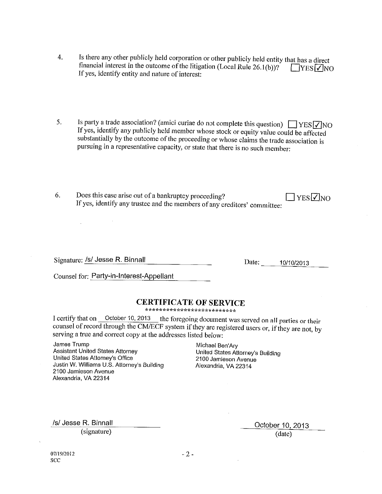- Is there any other publicly held corporation or other publicly held entity that has a direct  $\overline{4}$ . financial interest in the outcome of the litigation (Local Rule 26.1(b))?  $\Box$ YES  $\Box$ NO If yes, identify entity and nature of interest:
- Is party a trade association? (amici curiae do not complete this question)  $\Box$  YES  $\overline{\bigtriangledown}$  NO 5. If yes, identify any publicly held member whose stock or equity value could be affected substantially by the outcome of the proceeding or whose claims the trade association is pursuing in a representative capacity, or state that there is no such member:
- 6. Does this case arise out of a bankruptcy proceeding?  $\square$  YES  $\square$ NO If yes, identify any trustee and the members of any creditors' committee:

Signature: /s/ Jesse R. Binnall

 $\mathcal{L}$ 

Date: 10/10/2013

Counsel for: Party-in-Interest-Appellant

## **CERTIFICATE OF SERVICE**

\*\*\*\*\*\*\*\*\*\*\*\*\*\*\*\*\*\*\*\*\*\*\*\*\*\*\*

I certify that on October 10, 2013 the foregoing document was served on all parties or their counsel of record through the CM/ECF system if they are registered users or, if they are not, by serving a true and correct copy at the addresses listed below:

James Trump **Assistant United States Attorney** United States Attorney's Office Justin W. Williams U.S. Attorney's Building 2100 Jamieson Avenue Alexandria, VA 22314

Michael Ben'Ary United States Attorney's Building 2100 Jamieson Avenue Alexandria, VA 22314

/s/ Jesse R. Binnall

(signature)

October 10, 2013 (date)

07/19/2012 SCC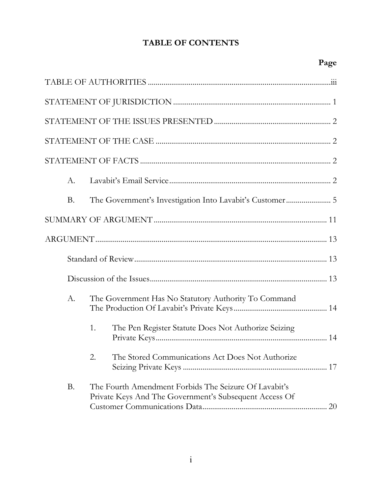# TABLE OF CONTENTS

| A.        |                                                                                                                 |
|-----------|-----------------------------------------------------------------------------------------------------------------|
| <b>B.</b> |                                                                                                                 |
|           |                                                                                                                 |
|           |                                                                                                                 |
|           |                                                                                                                 |
|           |                                                                                                                 |
| A.        | The Government Has No Statutory Authority To Command                                                            |
|           | 1.<br>The Pen Register Statute Does Not Authorize Seizing                                                       |
|           | The Stored Communications Act Does Not Authorize<br>2.                                                          |
| Β.        | The Fourth Amendment Forbids The Seizure Of Lavabit's<br>Private Keys And The Government's Subsequent Access Of |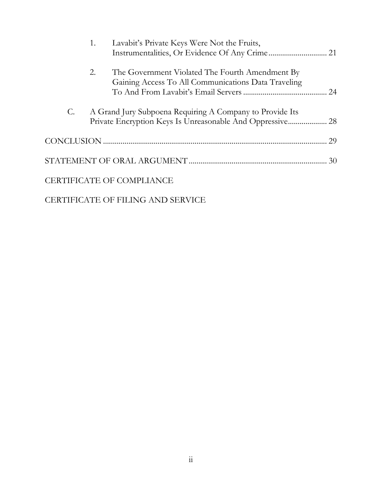|                 | 1. | Lavabit's Private Keys Were Not the Fruits,                                                            |    |
|-----------------|----|--------------------------------------------------------------------------------------------------------|----|
|                 | 2. | The Government Violated The Fourth Amendment By<br>Gaining Access To All Communications Data Traveling |    |
| $\mathcal{C}$ . |    | A Grand Jury Subpoena Requiring A Company to Provide Its                                               |    |
|                 |    |                                                                                                        | 29 |
|                 |    |                                                                                                        |    |
|                 |    | CERTIFICATE OF COMPLIANCE                                                                              |    |
|                 |    |                                                                                                        |    |

CERTIFICATE OF FILING AND SERVICE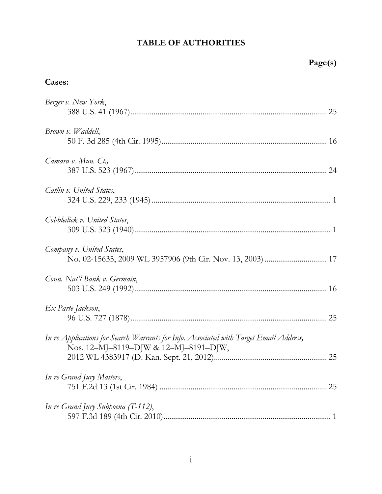# TABLE OF AUTHORITIES

# Cases:

| Berger v. New York,                                                                                                             |
|---------------------------------------------------------------------------------------------------------------------------------|
| Brown v. Waddell,                                                                                                               |
| Camara v. Mun. Ct.,                                                                                                             |
| Catlin v. United States,                                                                                                        |
| Cobbledick v. United States,                                                                                                    |
| Company v. United States,                                                                                                       |
| Conn. Nat'l Bank v. Germain,                                                                                                    |
| Ex Parte Jackson,                                                                                                               |
| In re Applications for Search Warrants for Info. Associated with Target Email Address,<br>Nos. 12-MJ-8119-DJW & 12-MJ-8191-DJW, |
| In re Grand Jury Matters,                                                                                                       |
| In re Grand Jury Subpoena $(T-112)$ ,                                                                                           |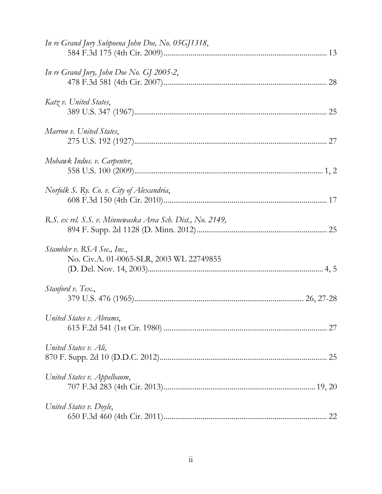| In re Grand Jury Subpoena John Doe, No. 05GJ1318,                       |  |
|-------------------------------------------------------------------------|--|
| In re Grand Jury, John Doe No. GJ 2005-2,                               |  |
| Katz v. United States,                                                  |  |
| Marron v. United States,                                                |  |
| Mohawk Indus. v. Carpenter,                                             |  |
| Norfolk S. Ry. Co. v. City of Alexandria,                               |  |
| R.S. ex rel. S.S. v. Minnewaska Area Sch. Dist., No. 2149,              |  |
| Stambler v. RSA Sec., Inc.,<br>No. Civ.A. 01-0065-SLR, 2003 WL 22749855 |  |
| <i>Stanford v. Tex.</i> ,                                               |  |
| United States v. Abrams,                                                |  |
| United States v. Ali,                                                   |  |
| United States v. Appelbaum,                                             |  |
| United States v. Doyle,                                                 |  |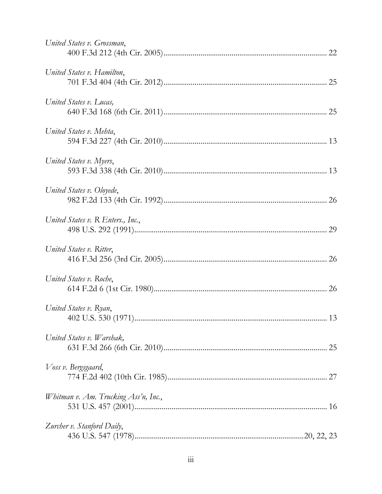| United States v. Grossman,           |  |
|--------------------------------------|--|
| United States v. Hamilton,           |  |
| United States v. Lucas,              |  |
| United States v. Mehta,              |  |
| United States v. Myers,              |  |
| United States v. Oloyede,            |  |
| United States v. R Enters., Inc.,    |  |
| United States v. Ritter,             |  |
| United States v. Roche,              |  |
| United States v. Ryan,               |  |
| United States v. Warshak,            |  |
| Voss v. Bergsgaard,                  |  |
| Whitman v. Am. Trucking Ass'n, Inc., |  |
| Zurcher v. Stanford Daily,           |  |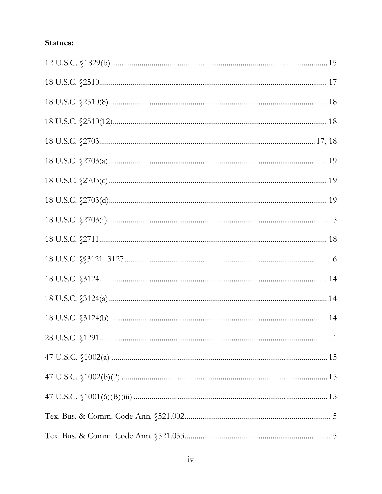# Statues:

| 18 U.S.C. $\frac{2703(a) \dots}{2703(a) \dots}$ |  |
|-------------------------------------------------|--|
| 18 U.S.C. $\frac{2703(c) \dots}{c}$ 19          |  |
|                                                 |  |
|                                                 |  |
|                                                 |  |
|                                                 |  |
|                                                 |  |
|                                                 |  |
|                                                 |  |
|                                                 |  |
|                                                 |  |
|                                                 |  |
|                                                 |  |
|                                                 |  |
|                                                 |  |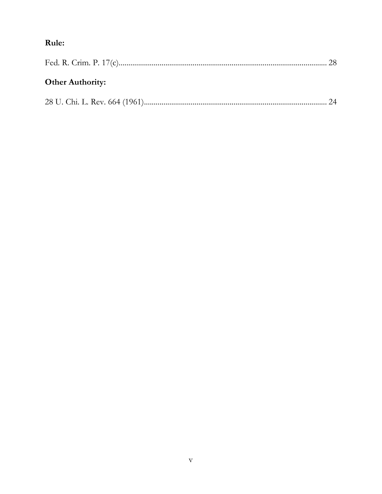# Rule:

| <b>Other Authority:</b> |  |
|-------------------------|--|
|                         |  |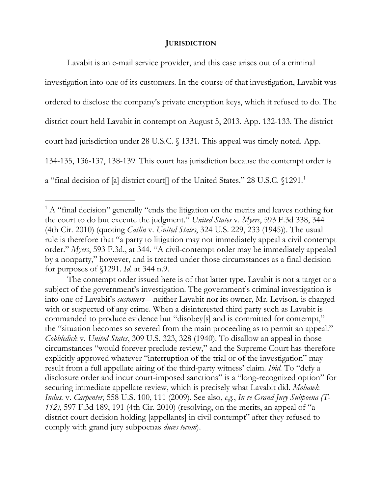## **JURISDICTION**

Lavabit is an e-mail service provider, and this case arises out of a criminal investigation into one of its customers. In the course of that investigation, Lavabit was ordered to disclose the company's private encryption keys, which it refused to do. The district court held Lavabit in contempt on August 5, 2013. App. 132-133. The district court had jurisdiction under 28 U.S.C. § 1331. This appeal was timely noted. App. 134-135, 136-137, 138-139. This court has jurisdiction because the contempt order is a "final decision of [a] district court[] of the United States." 28 U.S.C. \[1291.<sup>1</sup>]

<sup>&</sup>lt;sup>1</sup> A "final decision" generally "ends the litigation on the merits and leaves nothing for the court to do but execute the judgment." United States v. Myers, 593 F.3d 338, 344 (4th Cir. 2010) (quoting *Catlin v. United States*, 324 U.S. 229, 233 (1945)). The usual rule is therefore that "a party to litigation may not immediately appeal a civil contempt order." Myers, 593 F.3d., at 344. "A civil-contempt order may be immediately appealed by a nonparty," however, and is treated under those circumstances as a final decision for purposes of  $$1291$ . *Id.* at 344 n.9.

The contempt order issued here is of that latter type. Lavabit is not a target or a subject of the government's investigation. The government's criminal investigation is into one of Lavabit's customers—neither Lavabit nor its owner, Mr. Levison, is charged with or suspected of any crime. When a disinterested third party such as Lavabit is commanded to produce evidence but "disobey[s] and is committed for contempt," the "situation becomes so severed from the main proceeding as to permit an appeal." Cobbledick v. United States, 309 U.S. 323, 328 (1940). To disallow an appeal in those circumstances "would forever preclude review," and the Supreme Court has therefore explicitly approved whatever "interruption of the trial or of the investigation" may result from a full appellate airing of the third-party witness' claim. *Ibid*. To "defy a disclosure order and incur court-imposed sanctions" is a "long-recognized option" for securing immediate appellate review, which is precisely what Lavabit did. Mohawk Indus. v. Carpenter, 558 U.S. 100, 111 (2009). See also, e.g., In re Grand Jury Subpoena (T-112), 597 F.3d 189, 191 (4th Cir. 2010) (resolving, on the merits, an appeal of "a district court decision holding [appellants] in civil contempt" after they refused to comply with grand jury subpoenas *duces tecum*).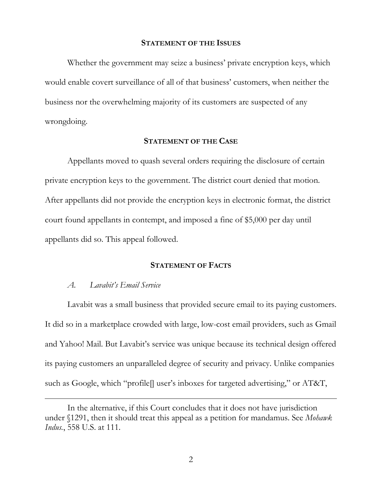### **STATEMENT OF THE ISSUES**

Whether the government may seize a business' private encryption keys, which would enable covert surveillance of all of that business' customers, when neither the business nor the overwhelming majority of its customers are suspected of any wrongdoing.

### **STATEMENT OF THE CASE**

Appellants moved to quash several orders requiring the disclosure of certain private encryption keys to the government. The district court denied that motion. After appellants did not provide the encryption keys in electronic format, the district court found appellants in contempt, and imposed a fine of \$5,000 per day until appellants did so. This appeal followed.

## **STATEMENT OF FACTS**

#### Lavabit's Email Service  $\mathcal{A}.$

Lavabit was a small business that provided secure email to its paying customers. It did so in a marketplace crowded with large, low-cost email providers, such as Gmail and Yahoo! Mail. But Lavabit's service was unique because its technical design offered its paying customers an unparalleled degree of security and privacy. Unlike companies such as Google, which "profile] user's inboxes for targeted advertising," or AT&T,

In the alternative, if this Court concludes that it does not have jurisdiction under \\$1291, then it should treat this appeal as a petition for mandamus. See Mohawk Indus., 558 U.S. at 111.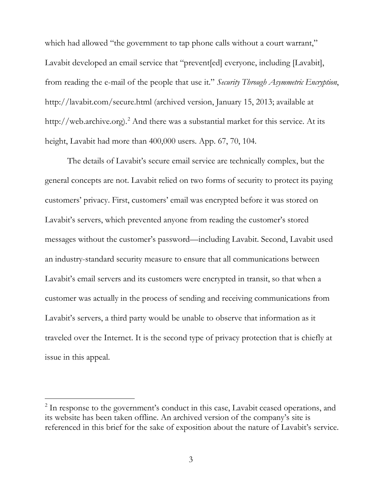which had allowed "the government to tap phone calls without a court warrant," Lavabit developed an email service that "prevent[ed] everyone, including [Lavabit], from reading the e-mail of the people that use it." Security Through Asymmetric Encryption, http://lavabit.com/secure.html (archived version, January 15, 2013; available at http://web.archive.org).<sup>2</sup> And there was a substantial market for this service. At its height, Lavabit had more than 400,000 users. App. 67, 70, 104.

The details of Lavabit's secure email service are technically complex, but the general concepts are not. Lavabit relied on two forms of security to protect its paying customers' privacy. First, customers' email was encrypted before it was stored on Lavabit's servers, which prevented anyone from reading the customer's stored messages without the customer's password—including Lavabit. Second, Lavabit used an industry-standard security measure to ensure that all communications between Lavabit's email servers and its customers were encrypted in transit, so that when a customer was actually in the process of sending and receiving communications from Lavabit's servers, a third party would be unable to observe that information as it traveled over the Internet. It is the second type of privacy protection that is chiefly at issue in this appeal.

<sup>&</sup>lt;sup>2</sup> In response to the government's conduct in this case, Lavabit ceased operations, and its website has been taken offline. An archived version of the company's site is referenced in this brief for the sake of exposition about the nature of Lavabit's service.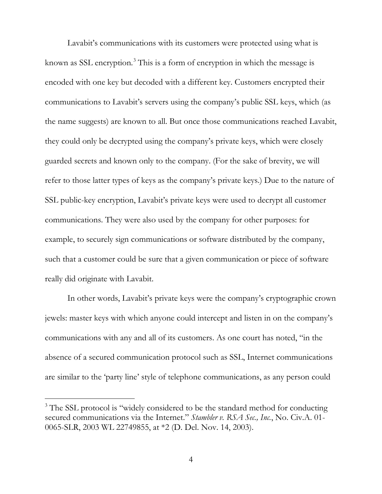Lavabit's communications with its customers were protected using what is known as SSL encryption.<sup>3</sup> This is a form of encryption in which the message is encoded with one key but decoded with a different key. Customers encrypted their communications to Lavabit's servers using the company's public SSL keys, which (as the name suggests) are known to all. But once those communications reached Lavabit, they could only be decrypted using the company's private keys, which were closely guarded secrets and known only to the company. (For the sake of brevity, we will refer to those latter types of keys as the company's private keys.) Due to the nature of SSL public-key encryption, Lavabit's private keys were used to decrypt all customer communications. They were also used by the company for other purposes: for example, to securely sign communications or software distributed by the company, such that a customer could be sure that a given communication or piece of software really did originate with Lavabit.

In other words, Lavabit's private keys were the company's cryptographic crown jewels: master keys with which anyone could intercept and listen in on the company's communications with any and all of its customers. As one court has noted, "in the absence of a secured communication protocol such as SSL, Internet communications are similar to the 'party line' style of telephone communications, as any person could

<sup>&</sup>lt;sup>3</sup> The SSL protocol is "widely considered to be the standard method for conducting secured communications via the Internet." Stambler v. RSA Sec., Inc., No. Civ.A. 01-0065-SLR, 2003 WL 22749855, at \*2 (D. Del. Nov. 14, 2003).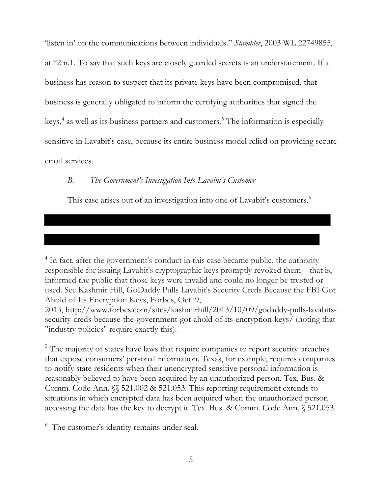'listen in' on the communications between individuals." *Stambler*, 2003 WL 22749855, at \*2 n.1. To say that such keys are closely guarded secrets is an understatement. If a business has reason to suspect that its private keys have been compromised, that business is generally obligated to inform the certifying authorities that signed the keys,<sup>4</sup> as well as its business partners and customers.<sup>5</sup> The information is especially sensitive in Lavabit's case, because its entire business model relied on providing secure email services.

#### $B<sub>1</sub>$ The Government's Investigation Into Lavabit's Customer

This case arises out of an investigation into one of Lavabit's customers.<sup>6</sup>

<sup>5</sup> The majority of states have laws that require companies to report security breaches that expose consumers' personal information. Texas, for example, requires companies to notify state residents when their unencrypted sensitive personal information is reasonably believed to have been acquired by an unauthorized person. Tex. Bus. & Comm. Code Ann.  $\mathcal{N}$  521.002 & 521.053. This reporting requirement extends to situations in which encrypted data has been acquired when the unauthorized person accessing the data has the key to decrypt it. Tex. Bus. & Comm. Code Ann. § 521.053.

<sup>6</sup> The customer's identity remains under seal.

<sup>&</sup>lt;sup>4</sup> In fact, after the government's conduct in this case became public, the authority responsible for issuing Lavabit's cryptographic keys promptly revoked them—that is, informed the public that those keys were invalid and could no longer be trusted or used. See Kashmir Hill, GoDaddy Pulls Lavabit's Security Creds Because the FBI Got Ahold of Its Encryption Keys, Forbes, Oct. 9,

<sup>2013,</sup> http://www.forbes.com/sites/kashmirhill/2013/10/09/godaddy-pulls-lavabitssecurity-creds-because-the-government-got-ahold-of-its-encryption-keys/ (noting that "industry policies" require exactly this).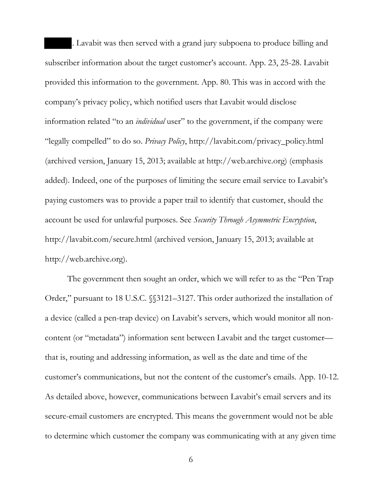. Lavabit was then served with a grand jury subpoena to produce billing and subscriber information about the target customer's account. App. 23, 25-28. Lavabit provided this information to the government. App. 80. This was in accord with the company's privacy policy, which notified users that Lavabit would disclose information related "to an *individual* user" to the government, if the company were "legally compelled" to do so. Privacy Policy, http://lavabit.com/privacy\_policy.html (archived version, January 15, 2013; available at http://web.archive.org) (emphasis added). Indeed, one of the purposes of limiting the secure email service to Lavabit's paying customers was to provide a paper trail to identify that customer, should the account be used for unlawful purposes. See Security Through Asymmetric Encryption, http://lavabit.com/secure.html (archived version, January 15, 2013; available at http://web.archive.org).

The government then sought an order, which we will refer to as the "Pen Trap" Order," pursuant to 18 U.S.C. (13121–3127. This order authorized the installation of a device (called a pen-trap device) on Lavabit's servers, which would monitor all noncontent (or "metadata") information sent between Lavabit and the target customer that is, routing and addressing information, as well as the date and time of the customer's communications, but not the content of the customer's emails. App. 10-12. As detailed above, however, communications between Lavabit's email servers and its secure-email customers are encrypted. This means the government would not be able to determine which customer the company was communicating with at any given time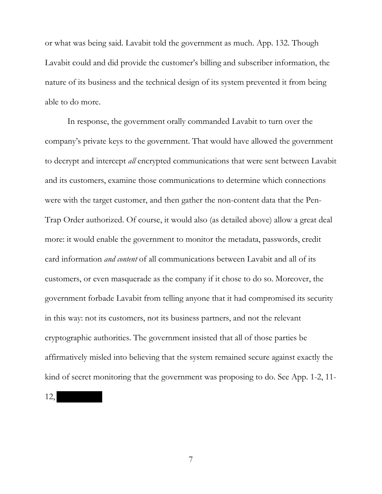or what was being said. Lavabit told the government as much. App. 132. Though Lavabit could and did provide the customer's billing and subscriber information, the nature of its business and the technical design of its system prevented it from being able to do more.

In response, the government orally commanded Lavabit to turn over the company's private keys to the government. That would have allowed the government to decrypt and intercept *all* encrypted communications that were sent between Lavabit and its customers, examine those communications to determine which connections were with the target customer, and then gather the non-content data that the Pen-Trap Order authorized. Of course, it would also (as detailed above) allow a great deal more: it would enable the government to monitor the metadata, passwords, credit card information *and content* of all communications between Lavabit and all of its customers, or even masquerade as the company if it chose to do so. Moreover, the government forbade Lavabit from telling anyone that it had compromised its security in this way: not its customers, not its business partners, and not the relevant cryptographic authorities. The government insisted that all of those parties be affirmatively misled into believing that the system remained secure against exactly the kind of secret monitoring that the government was proposing to do. See App. 1-2, 11-

 $12,$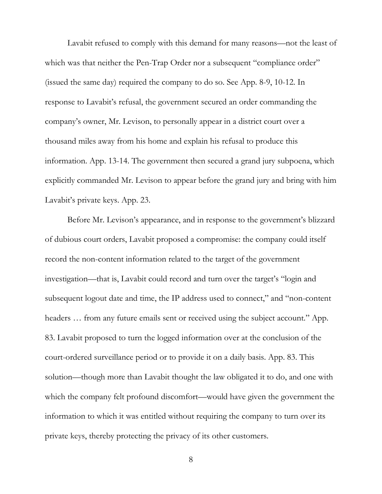Lavabit refused to comply with this demand for many reasons—not the least of which was that neither the Pen-Trap Order nor a subsequent "compliance order" (issued the same day) required the company to do so. See App. 8-9, 10-12. In response to Lavabit's refusal, the government secured an order commanding the company's owner, Mr. Levison, to personally appear in a district court over a thousand miles away from his home and explain his refusal to produce this information. App. 13-14. The government then secured a grand jury subpoena, which explicitly commanded Mr. Levison to appear before the grand jury and bring with him Lavabit's private keys. App. 23.

Before Mr. Levison's appearance, and in response to the government's blizzard of dubious court orders, Lavabit proposed a compromise: the company could itself record the non-content information related to the target of the government investigation—that is, Lavabit could record and turn over the target's "login and subsequent logout date and time, the IP address used to connect," and "non-content" headers ... from any future emails sent or received using the subject account." App. 83. Lavabit proposed to turn the logged information over at the conclusion of the court-ordered surveillance period or to provide it on a daily basis. App. 83. This solution—though more than Lavabit thought the law obligated it to do, and one with which the company felt profound discomfort—would have given the government the information to which it was entitled without requiring the company to turn over its private keys, thereby protecting the privacy of its other customers.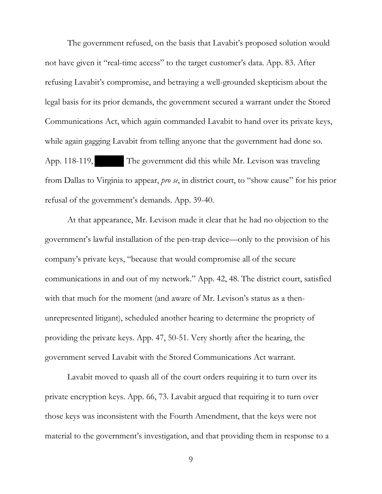The government refused, on the basis that Lavabit's proposed solution would not have given it "real-time access" to the target customer's data. App. 83. After refusing Lavabit's compromise, and betraying a well-grounded skepticism about the legal basis for its prior demands, the government secured a warrant under the Stored Communications Act, which again commanded Lavabit to hand over its private keys, while again gagging Lavabit from telling anyone that the government had done so. App. 118-119, The government did this while Mr. Levison was traveling from Dallas to Virginia to appear, *pro se*, in district court, to "show cause" for his prior refusal of the government's demands. App. 39-40.

At that appearance, Mr. Levison made it clear that he had no objection to the government's lawful installation of the pen-trap device—only to the provision of his company's private keys, "because that would compromise all of the secure communications in and out of my network." App. 42, 48. The district court, satisfied with that much for the moment (and aware of Mr. Levison's status as a thenunrepresented litigant), scheduled another hearing to determine the propriety of providing the private keys. App. 47, 50-51. Very shortly after the hearing, the government served Lavabit with the Stored Communications Act warrant.

Lavabit moved to quash all of the court orders requiring it to turn over its private encryption keys. App. 66, 73. Lavabit argued that requiring it to turn over those keys was inconsistent with the Fourth Amendment, that the keys were not material to the government's investigation, and that providing them in response to a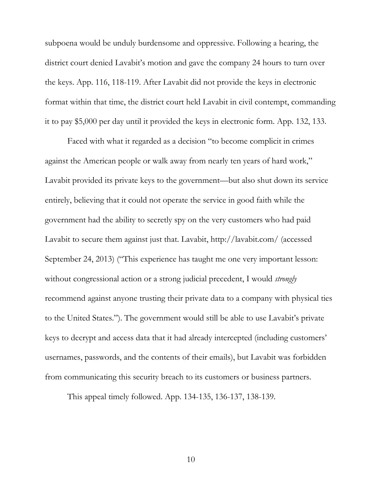subpoena would be unduly burdensome and oppressive. Following a hearing, the district court denied Lavabit's motion and gave the company 24 hours to turn over the keys. App. 116, 118-119. After Lavabit did not provide the keys in electronic format within that time, the district court held Lavabit in civil contempt, commanding it to pay \$5,000 per day until it provided the keys in electronic form. App. 132, 133.

Faced with what it regarded as a decision "to become complicit in crimes" against the American people or walk away from nearly ten years of hard work," Lavabit provided its private keys to the government—but also shut down its service entirely, believing that it could not operate the service in good faith while the government had the ability to secretly spy on the very customers who had paid Lavabit to secure them against just that. Lavabit, http://lavabit.com/ (accessed September 24, 2013) ("This experience has taught me one very important lesson: without congressional action or a strong judicial precedent, I would *strongly* recommend against anyone trusting their private data to a company with physical ties to the United States."). The government would still be able to use Lavabit's private keys to decrypt and access data that it had already intercepted (including customers' usernames, passwords, and the contents of their emails), but Lavabit was forbidden from communicating this security breach to its customers or business partners.

This appeal timely followed. App. 134-135, 136-137, 138-139.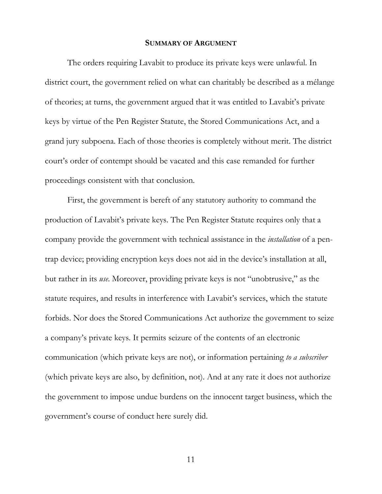### **SUMMARY OF ARGUMENT**

The orders requiring Lavabit to produce its private keys were unlawful. In district court, the government relied on what can charitably be described as a mélange of theories; at turns, the government argued that it was entitled to Lavabit's private keys by virtue of the Pen Register Statute, the Stored Communications Act, and a grand jury subpoena. Each of those theories is completely without merit. The district court's order of contempt should be vacated and this case remanded for further proceedings consistent with that conclusion.

First, the government is bereft of any statutory authority to command the production of Lavabit's private keys. The Pen Register Statute requires only that a company provide the government with technical assistance in the *installation* of a pentrap device; providing encryption keys does not aid in the device's installation at all, but rather in its *use*. Moreover, providing private keys is not "unobtrusive," as the statute requires, and results in interference with Lavabit's services, which the statute forbids. Nor does the Stored Communications Act authorize the government to seize a company's private keys. It permits seizure of the contents of an electronic communication (which private keys are not), or information pertaining to a subscriber (which private keys are also, by definition, not). And at any rate it does not authorize the government to impose undue burdens on the innocent target business, which the government's course of conduct here surely did.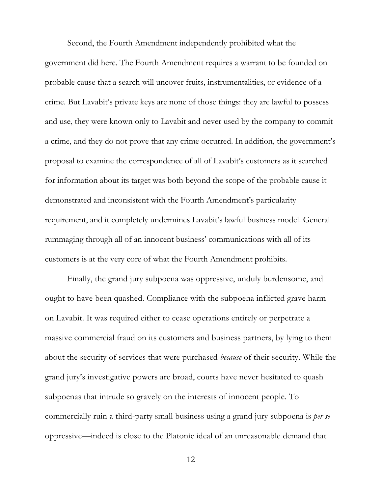Second, the Fourth Amendment independently prohibited what the government did here. The Fourth Amendment requires a warrant to be founded on probable cause that a search will uncover fruits, instrumentalities, or evidence of a crime. But Lavabit's private keys are none of those things: they are lawful to possess and use, they were known only to Lavabit and never used by the company to commit a crime, and they do not prove that any crime occurred. In addition, the government's proposal to examine the correspondence of all of Lavabit's customers as it searched for information about its target was both beyond the scope of the probable cause it demonstrated and inconsistent with the Fourth Amendment's particularity requirement, and it completely undermines Lavabit's lawful business model. General rummaging through all of an innocent business' communications with all of its customers is at the very core of what the Fourth Amendment prohibits.

Finally, the grand jury subpoena was oppressive, unduly burdensome, and ought to have been quashed. Compliance with the subpoena inflicted grave harm on Lavabit. It was required either to cease operations entirely or perpetrate a massive commercial fraud on its customers and business partners, by lying to them about the security of services that were purchased *because* of their security. While the grand jury's investigative powers are broad, courts have never hesitated to quash subpoenas that intrude so gravely on the interests of innocent people. To commercially ruin a third-party small business using a grand jury subpoena is *per se* oppressive—indeed is close to the Platonic ideal of an unreasonable demand that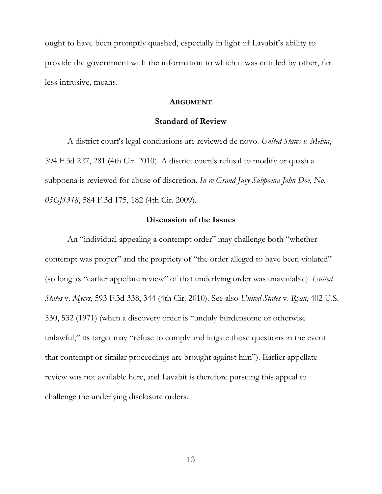ought to have been promptly quashed, especially in light of Lavabit's ability to provide the government with the information to which it was entitled by other, far less intrusive, means.

#### **ARGUMENT**

### **Standard of Review**

A district court's legal conclusions are reviewed de novo. United States v. Mehta, 594 F.3d 227, 281 (4th Cir. 2010). A district court's refusal to modify or quash a subpoena is reviewed for abuse of discretion. In re Grand Jury Subpoena John Doe, No. 05GJ1318, 584 F.3d 175, 182 (4th Cir. 2009).

### Discussion of the Issues

An "individual appealing a contempt order" may challenge both "whether contempt was proper" and the propriety of "the order alleged to have been violated" (so long as "earlier appellate review" of that underlying order was unavailable). United States v. Myers, 593 F.3d 338, 344 (4th Cir. 2010). See also United States v. Ryan, 402 U.S. 530, 532 (1971) (when a discovery order is "unduly burdensome or otherwise unlawful," its target may "refuse to comply and litigate those questions in the event that contempt or similar proceedings are brought against him"). Earlier appellate review was not available here, and Lavabit is therefore pursuing this appeal to challenge the underlying disclosure orders.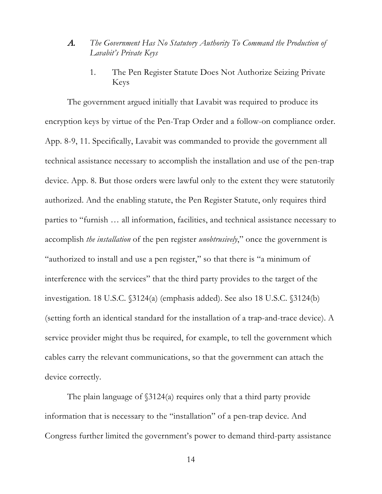- The Government Has No Statutory Authority To Command the Production of  $\mathcal{A}$ . Lavabit's Private Keys
	- $1<sub>1</sub>$ The Pen Register Statute Does Not Authorize Seizing Private Keys

The government argued initially that Lavabit was required to produce its encryption keys by virtue of the Pen-Trap Order and a follow-on compliance order. App. 8-9, 11. Specifically, Lavabit was commanded to provide the government all technical assistance necessary to accomplish the installation and use of the pen-trap device. App. 8. But those orders were lawful only to the extent they were statutorily authorized. And the enabling statute, the Pen Register Statute, only requires third parties to "furnish ... all information, facilities, and technical assistance necessary to accomplish *the installation* of the pen register *unobtrusively*," once the government is "authorized to install and use a pen register," so that there is "a minimum of interference with the services" that the third party provides to the target of the investigation. 18 U.S.C. (3124(a) (emphasis added). See also 18 U.S.C. (3124(b) (setting forth an identical standard for the installation of a trap-and-trace device). A service provider might thus be required, for example, to tell the government which cables carry the relevant communications, so that the government can attach the device correctly.

The plain language of  $$3124(a)$  requires only that a third party provide information that is necessary to the "installation" of a pen-trap device. And Congress further limited the government's power to demand third-party assistance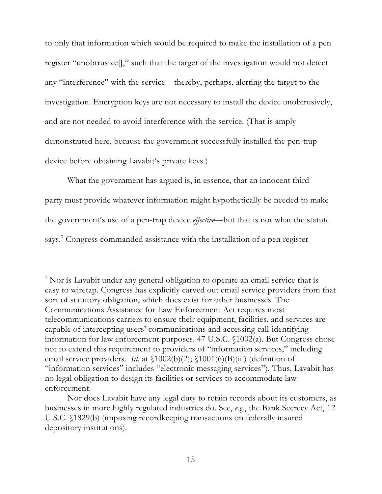to only that information which would be required to make the installation of a pen register "unobtrusive]]," such that the target of the investigation would not detect any "interference" with the service—thereby, perhaps, alerting the target to the investigation. Encryption keys are not necessary to install the device unobtrusively, and are not needed to avoid interference with the service. (That is amply demonstrated here, because the government successfully installed the pen-trap device before obtaining Lavabit's private keys.)

What the government has argued is, in essence, that an innocent third party must provide whatever information might hypothetically be needed to make the government's use of a pen-trap device *effective*—but that is not what the statute says. Congress commanded assistance with the installation of a pen register

<sup>&</sup>lt;sup>7</sup> Nor is Lavabit under any general obligation to operate an email service that is easy to wiretap. Congress has explicitly carved out email service providers from that sort of statutory obligation, which does exist for other businesses. The Communications Assistance for Law Enforcement Act requires most telecommunications carriers to ensure their equipment, facilities, and services are capable of intercepting users' communications and accessing call-identifying information for law enforcement purposes. 47 U.S.C. §1002(a). But Congress chose not to extend this requirement to providers of "information services," including email service providers. *Id.* at  $\[1002(b)(2);\[1001(6)(B)(iii)]$  (definition of "information services" includes "electronic messaging services"). Thus, Lavabit has no legal obligation to design its facilities or services to accommodate law enforcement.

Nor does Lavabit have any legal duty to retain records about its customers, as businesses in more highly regulated industries do. See, e.g., the Bank Secrecy Act, 12 U.S.C. \[1829(b) (imposing record keeping transactions on federally insured depository institutions).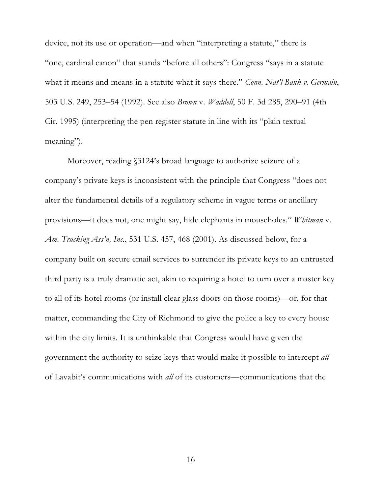device, not its use or operation—and when "interpreting a statute," there is "one, cardinal canon" that stands "before all others": Congress "says in a statute what it means and means in a statute what it says there." Conn. Nat'l Bank v. Germain, 503 U.S. 249, 253–54 (1992). See also Brown v. Waddell, 50 F. 3d 285, 290–91 (4th Cir. 1995) (interpreting the pen register statute in line with its "plain textual meaning").

Moreover, reading §3124's broad language to authorize seizure of a company's private keys is inconsistent with the principle that Congress "does not alter the fundamental details of a regulatory scheme in vague terms or ancillary provisions—it does not, one might say, hide elephants in mouseholes." Whitman v. Am. Trucking Ass'n, Inc., 531 U.S. 457, 468 (2001). As discussed below, for a company built on secure email services to surrender its private keys to an untrusted third party is a truly dramatic act, akin to requiring a hotel to turn over a master key to all of its hotel rooms (or install clear glass doors on those rooms)—or, for that matter, commanding the City of Richmond to give the police a key to every house within the city limits. It is unthinkable that Congress would have given the government the authority to seize keys that would make it possible to intercept all of Lavabit's communications with all of its customers—communications that the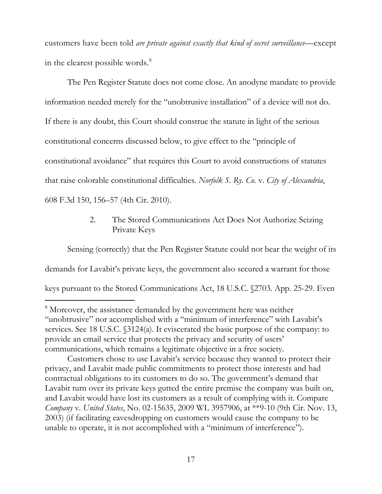customers have been told are private against exactly that kind of secret surveillance—except in the clearest possible words.<sup>8</sup>

The Pen Register Statute does not come close. An anodyne mandate to provide information needed merely for the "unobtrusive installation" of a device will not do. If there is any doubt, this Court should construe the statute in light of the serious constitutional concerns discussed below, to give effect to the "principle of constitutional avoidance" that requires this Court to avoid constructions of statutes that raise colorable constitutional difficulties. Norfolk S. Ry. Co. v. City of Alexandria, 608 F.3d 150, 156-57 (4th Cir. 2010).

#### $2.$ The Stored Communications Act Does Not Authorize Seizing Private Keys

Sensing (correctly) that the Pen Register Statute could not bear the weight of its demands for Lavabit's private keys, the government also secured a warrant for those keys pursuant to the Stored Communications Act, 18 U.S.C. §2703. App. 25-29. Even

<sup>&</sup>lt;sup>8</sup> Moreover, the assistance demanded by the government here was neither "unobtrusive" nor accomplished with a "minimum of interference" with Lavabit's services. See 18 U.S.C. (3124(a). It eviscerated the basic purpose of the company: to provide an email service that protects the privacy and security of users' communications, which remains a legitimate objective in a free society.

Customers chose to use Lavabit's service because they wanted to protect their privacy, and Lavabit made public commitments to protect those interests and had contractual obligations to its customers to do so. The government's demand that Lavabit turn over its private keys gutted the entire premise the company was built on, and Lavabit would have lost its customers as a result of complying with it. Compare Company v. United States, No. 02-15635, 2009 WL 3957906, at \*\*9-10 (9th Cir. Nov. 13, 2003) (if facilitating eavesdropping on customers would cause the company to be unable to operate, it is not accomplished with a "minimum of interference").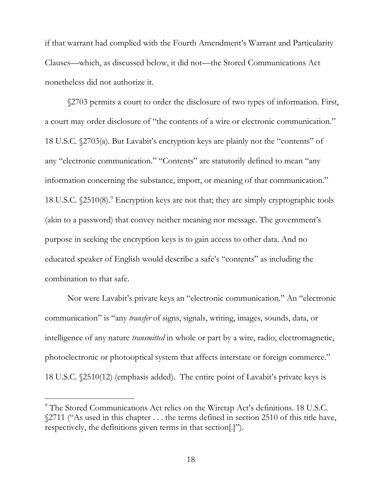if that warrant had complied with the Fourth Amendment's Warrant and Particularity Clauses—which, as discussed below, it did not—the Stored Communications Act nonetheless did not authorize it.

\$2703 permits a court to order the disclosure of two types of information. First, a court may order disclosure of "the contents of a wire or electronic communication." 18 U.S.C. §2703(a). But Lavabit's encryption keys are plainly not the "contents" of any "electronic communication." "Contents" are statutorily defined to mean "any information concerning the substance, import, or meaning of that communication." 18 U.S.C. \$2510(8).<sup>9</sup> Encryption keys are not that; they are simply cryptographic tools (akin to a password) that convey neither meaning nor message. The government's purpose in seeking the encryption keys is to gain access to other data. And no educated speaker of English would describe a safe's "contents" as including the combination to that safe.

Nor were Lavabit's private keys an "electronic communication." An "electronic communication" is "any *transfer* of signs, signals, writing, images, sounds, data, or intelligence of any nature *transmitted* in whole or part by a wire, radio, electromagnetic, photoelectronic or photooptical system that affects interstate or foreign commerce." 18 U.S.C. §2510(12) (emphasis added). The entire point of Lavabit's private keys is

<sup>&</sup>lt;sup>9</sup> The Stored Communications Act relies on the Wiretap Act's definitions. 18 U.S.C. \\$2711 ("As used in this chapter . . . the terms defined in section 2510 of this title have, respectively, the definitions given terms in that section.]''.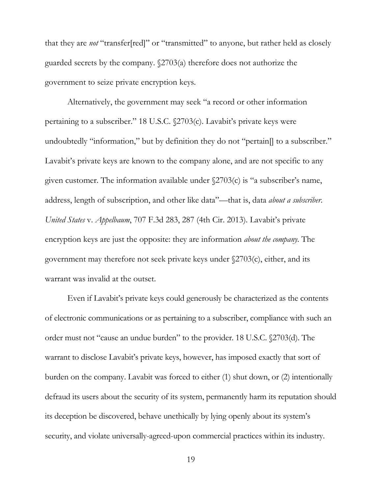that they are *not* "transfer[red]" or "transmitted" to anyone, but rather held as closely guarded secrets by the company.  $\sqrt{2703(a)}$  therefore does not authorize the government to seize private encryption keys.

Alternatively, the government may seek "a record or other information pertaining to a subscriber." 18 U.S.C. (2703(c). Lavabit's private keys were undoubtedly "information," but by definition they do not "pertain. to a subscriber." Lavabit's private keys are known to the company alone, and are not specific to any given customer. The information available under  $\sqrt{2703(c)}$  is "a subscriber's name, address, length of subscription, and other like data"—that is, data *about a subscriber*. United States v. Appelbaum, 707 F.3d 283, 287 (4th Cir. 2013). Lavabit's private encryption keys are just the opposite: they are information *about the company*. The government may therefore not seek private keys under §2703(c), either, and its warrant was invalid at the outset.

Even if Lavabit's private keys could generously be characterized as the contents of electronic communications or as pertaining to a subscriber, compliance with such an order must not "cause an undue burden" to the provider. 18 U.S.C. (2703(d). The warrant to disclose Lavabit's private keys, however, has imposed exactly that sort of burden on the company. Lavabit was forced to either (1) shut down, or (2) intentionally defraud its users about the security of its system, permanently harm its reputation should its deception be discovered, behave unethically by lying openly about its system's security, and violate universally-agreed-upon commercial practices within its industry.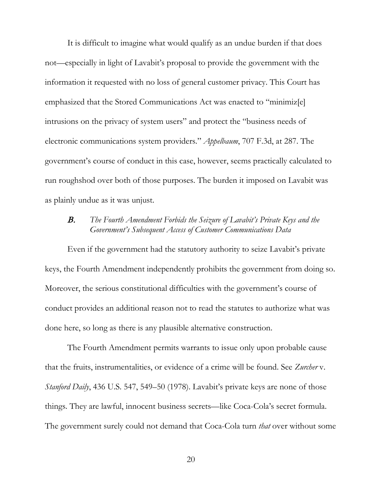It is difficult to imagine what would qualify as an undue burden if that does not—especially in light of Lavabit's proposal to provide the government with the information it requested with no loss of general customer privacy. This Court has emphasized that the Stored Communications Act was enacted to "minimized" intrusions on the privacy of system users" and protect the "business needs of electronic communications system providers." *Appelbaum*, 707 F.3d, at 287. The government's course of conduct in this case, however, seems practically calculated to run roughshod over both of those purposes. The burden it imposed on Lavabit was as plainly undue as it was unjust.

#### The Fourth Amendment Forbids the Seizure of Lavabit's Private Keys and the  $B_{\cdot}$ Government's Subsequent Access of Customer Communications Data

Even if the government had the statutory authority to seize Lavabit's private keys, the Fourth Amendment independently prohibits the government from doing so. Moreover, the serious constitutional difficulties with the government's course of conduct provides an additional reason not to read the statutes to authorize what was done here, so long as there is any plausible alternative construction.

The Fourth Amendment permits warrants to issue only upon probable cause that the fruits, instrumentalities, or evidence of a crime will be found. See Zurcher v. *Stanford Daily*, 436 U.S. 547, 549–50 (1978). Lavabit's private keys are none of those things. They are lawful, innocent business secrets—like Coca-Cola's secret formula. The government surely could not demand that Coca-Cola turn *that* over without some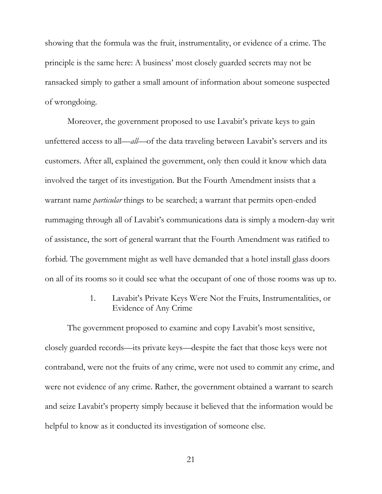showing that the formula was the fruit, instrumentality, or evidence of a crime. The principle is the same here: A business' most closely guarded secrets may not be ransacked simply to gather a small amount of information about someone suspected of wrongdoing.

Moreover, the government proposed to use Lavabit's private keys to gain unfettered access to all—all—of the data traveling between Lavabit's servers and its customers. After all, explained the government, only then could it know which data involved the target of its investigation. But the Fourth Amendment insists that a warrant name *particular* things to be searched; a warrant that permits open-ended rummaging through all of Lavabit's communications data is simply a modern-day writ of assistance, the sort of general warrant that the Fourth Amendment was ratified to forbid. The government might as well have demanded that a hotel install glass doors on all of its rooms so it could see what the occupant of one of those rooms was up to.

> Lavabit's Private Keys Were Not the Fruits, Instrumentalities, or 1. **Evidence of Any Crime**

The government proposed to examine and copy Lavabit's most sensitive, closely guarded records—its private keys—despite the fact that those keys were not contraband, were not the fruits of any crime, were not used to commit any crime, and were not evidence of any crime. Rather, the government obtained a warrant to search and seize Lavabit's property simply because it believed that the information would be helpful to know as it conducted its investigation of someone else.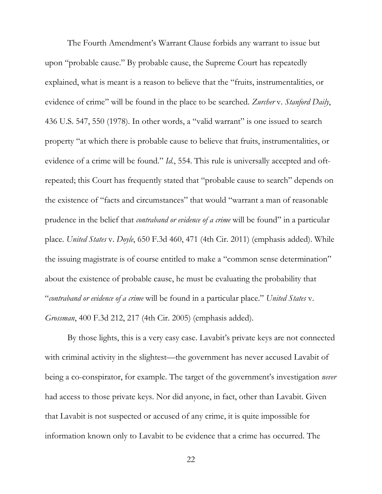The Fourth Amendment's Warrant Clause forbids any warrant to issue but upon "probable cause." By probable cause, the Supreme Court has repeatedly explained, what is meant is a reason to believe that the "fruits, instrumentalities, or evidence of crime" will be found in the place to be searched. Zurcher v. Stanford Daily, 436 U.S. 547, 550 (1978). In other words, a "valid warrant" is one issued to search property "at which there is probable cause to believe that fruits, instrumentalities, or evidence of a crime will be found." *Id.*, 554. This rule is universally accepted and oftrepeated; this Court has frequently stated that "probable cause to search" depends on the existence of "facts and circumstances" that would "warrant a man of reasonable prudence in the belief that *contraband or evidence of a crime* will be found" in a particular place. United States v. Doyle, 650 F.3d 460, 471 (4th Cir. 2011) (emphasis added). While the issuing magistrate is of course entitled to make a "common sense determination" about the existence of probable cause, he must be evaluating the probability that "contraband or evidence of a crime will be found in a particular place." United States v. Grossman, 400 F.3d 212, 217 (4th Cir. 2005) (emphasis added).

By those lights, this is a very easy case. Lavabit's private keys are not connected with criminal activity in the slightest—the government has never accused Lavabit of being a co-conspirator, for example. The target of the government's investigation *never* had access to those private keys. Nor did anyone, in fact, other than Lavabit. Given that Lavabit is not suspected or accused of any crime, it is quite impossible for information known only to Lavabit to be evidence that a crime has occurred. The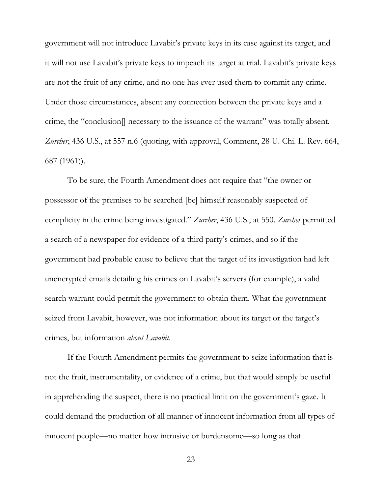government will not introduce Lavabit's private keys in its case against its target, and it will not use Lavabit's private keys to impeach its target at trial. Lavabit's private keys are not the fruit of any crime, and no one has ever used them to commit any crime. Under those circumstances, absent any connection between the private keys and a crime, the "conclusion]] necessary to the issuance of the warrant" was totally absent. Zurcher, 436 U.S., at 557 n.6 (quoting, with approval, Comment, 28 U. Chi. L. Rev. 664,  $687(1961)$ .

To be sure, the Fourth Amendment does not require that "the owner or possessor of the premises to be searched [be] himself reasonably suspected of complicity in the crime being investigated." Zurcher, 436 U.S., at 550. Zurcher permitted a search of a newspaper for evidence of a third party's crimes, and so if the government had probable cause to believe that the target of its investigation had left unencrypted emails detailing his crimes on Lavabit's servers (for example), a valid search warrant could permit the government to obtain them. What the government seized from Lavabit, however, was not information about its target or the target's crimes, but information about Lavabit.

If the Fourth Amendment permits the government to seize information that is not the fruit, instrumentality, or evidence of a crime, but that would simply be useful in apprehending the suspect, there is no practical limit on the government's gaze. It could demand the production of all manner of innocent information from all types of innocent people—no matter how intrusive or burdensome—so long as that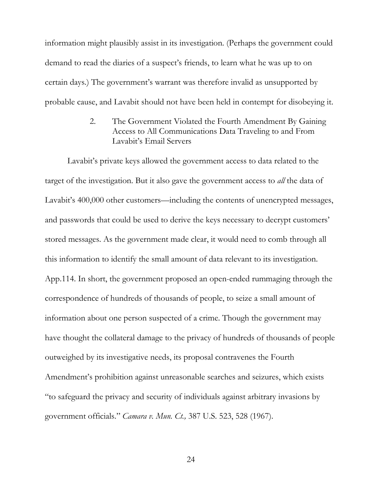information might plausibly assist in its investigation. (Perhaps the government could demand to read the diaries of a suspect's friends, to learn what he was up to on certain days.) The government's warrant was therefore invalid as unsupported by probable cause, and Lavabit should not have been held in contempt for disobeying it.

> The Government Violated the Fourth Amendment By Gaining  $2^{1}$ Access to All Communications Data Traveling to and From Lavabit's Email Servers

Lavabit's private keys allowed the government access to data related to the target of the investigation. But it also gave the government access to *all* the data of Lavabit's 400,000 other customers—including the contents of unencrypted messages, and passwords that could be used to derive the keys necessary to decrypt customers' stored messages. As the government made clear, it would need to comb through all this information to identify the small amount of data relevant to its investigation. App.114. In short, the government proposed an open-ended rummaging through the correspondence of hundreds of thousands of people, to seize a small amount of information about one person suspected of a crime. Though the government may have thought the collateral damage to the privacy of hundreds of thousands of people outweighed by its investigative needs, its proposal contravenes the Fourth Amendment's prohibition against unreasonable searches and seizures, which exists "to safeguard the privacy and security of individuals against arbitrary invasions by government officials." Camara v. Mun. Ct., 387 U.S. 523, 528 (1967).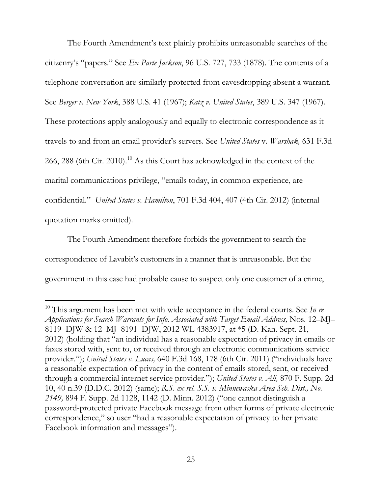The Fourth Amendment's text plainly prohibits unreasonable searches of the citizenry's "papers." See Ex Parte Jackson, 96 U.S. 727, 733 (1878). The contents of a telephone conversation are similarly protected from eavesdropping absent a warrant. See Berger v. New York, 388 U.S. 41 (1967); Katz v. United States, 389 U.S. 347 (1967). These protections apply analogously and equally to electronic correspondence as it travels to and from an email provider's servers. See United States v. Warshak, 631 F.3d 266, 288 (6th Cir. 2010).<sup>10</sup> As this Court has acknowledged in the context of the marital communications privilege, "emails today, in common experience, are confidential." United States v. Hamilton, 701 F.3d 404, 407 (4th Cir. 2012) (internal quotation marks omitted).

The Fourth Amendment therefore forbids the government to search the correspondence of Lavabit's customers in a manner that is unreasonable. But the government in this case had probable cause to suspect only one customer of a crime,

<sup>&</sup>lt;sup>10</sup> This argument has been met with wide acceptance in the federal courts. See In re Applications for Search Warrants for Info. Associated with Target Email Address, Nos. 12–MJ– 8119-DJW & 12-MJ-8191-DJW, 2012 WL 4383917, at \*5 (D. Kan. Sept. 21, 2012) (holding that "an individual has a reasonable expectation of privacy in emails or faxes stored with, sent to, or received through an electronic communications service provider."); United States v. Lucas, 640 F.3d 168, 178 (6th Cir. 2011) ("individuals have a reasonable expectation of privacy in the content of emails stored, sent, or received through a commercial internet service provider."); United States v. Ali, 870 F. Supp. 2d 10, 40 n.39 (D.D.C. 2012) (same); R.S. ex rel. S.S. v. Minnewaska Area Sch. Dist., No. 2149, 894 F. Supp. 2d 1128, 1142 (D. Minn. 2012) ("one cannot distinguish a password-protected private Facebook message from other forms of private electronic correspondence," so user "had a reasonable expectation of privacy to her private Facebook information and messages").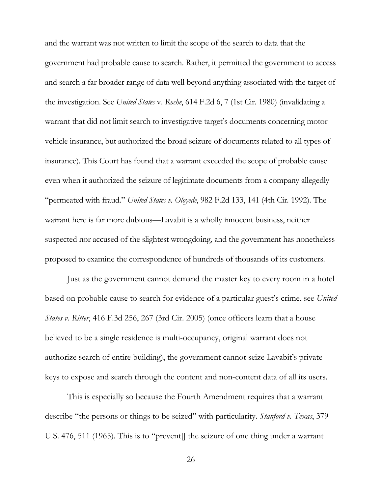and the warrant was not written to limit the scope of the search to data that the government had probable cause to search. Rather, it permitted the government to access and search a far broader range of data well beyond anything associated with the target of the investigation. See United States v. Roche, 614 F.2d 6, 7 (1st Cir. 1980) (invalidating a warrant that did not limit search to investigative target's documents concerning motor vehicle insurance, but authorized the broad seizure of documents related to all types of insurance). This Court has found that a warrant exceeded the scope of probable cause even when it authorized the seizure of legitimate documents from a company allegedly "permeated with fraud." United States v. Oloyede, 982 F.2d 133, 141 (4th Cir. 1992). The warrant here is far more dubious—Lavabit is a wholly innocent business, neither suspected nor accused of the slightest wrongdoing, and the government has nonetheless proposed to examine the correspondence of hundreds of thousands of its customers.

Just as the government cannot demand the master key to every room in a hotel based on probable cause to search for evidence of a particular guest's crime, see United *States v. Ritter*, 416 F.3d 256, 267 (3rd Cir. 2005) (once officers learn that a house believed to be a single residence is multi-occupancy, original warrant does not authorize search of entire building), the government cannot seize Lavabit's private keys to expose and search through the content and non-content data of all its users.

This is especially so because the Fourth Amendment requires that a warrant describe "the persons or things to be seized" with particularity. *Stanford v. Texas*, 379 U.S. 476, 511 (1965). This is to "prevent] the seizure of one thing under a warrant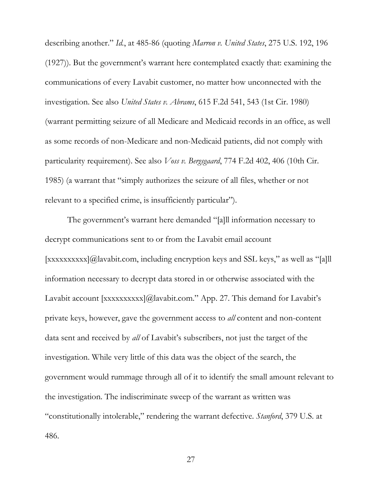describing another." Id., at 485-86 (quoting Marron v. United States, 275 U.S. 192, 196 (1927)). But the government's warrant here contemplated exactly that: examining the communications of every Lavabit customer, no matter how unconnected with the investigation. See also United States v. Abrams, 615 F.2d 541, 543 (1st Cir. 1980) (warrant permitting seizure of all Medicare and Medicaid records in an office, as well as some records of non-Medicare and non-Medicaid patients, did not comply with particularity requirement). See also *Voss v. Bergsgaard*, 774 F.2d 402, 406 (10th Cir. 1985) (a warrant that "simply authorizes the seizure of all files, whether or not relevant to a specified crime, is insufficiently particular").

The government's warrant here demanded "[a]ll information necessary to decrypt communications sent to or from the Lavabit email account  $[xxxxxxxxx][\omega]$  avabit.com, including encryption keys and SSL keys," as well as "[a]] information necessary to decrypt data stored in or otherwise associated with the Lavabit account [xxxxxxxxx]@lavabit.com." App. 27. This demand for Lavabit's private keys, however, gave the government access to *all* content and non-content data sent and received by *all* of Lavabit's subscribers, not just the target of the investigation. While very little of this data was the object of the search, the government would rummage through all of it to identify the small amount relevant to the investigation. The indiscriminate sweep of the warrant as written was "constitutionally intolerable," rendering the warrant defective. *Stanford*, 379 U.S. at 486.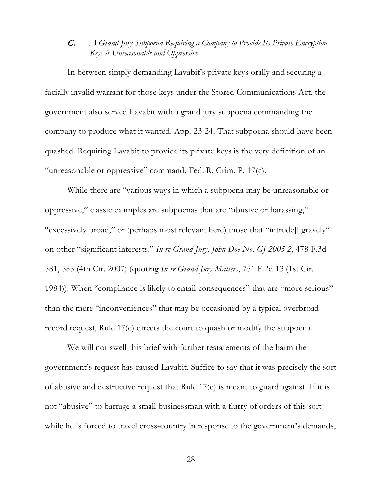#### A Grand Jury Subpoena Requiring a Company to Provide Its Private Encryption  $\overline{C}$ Keys is Unreasonable and Oppressive

In between simply demanding Lavabit's private keys orally and securing a facially invalid warrant for those keys under the Stored Communications Act, the government also served Lavabit with a grand jury subpoena commanding the company to produce what it wanted. App. 23-24. That subpoena should have been quashed. Requiring Lavabit to provide its private keys is the very definition of an "unreasonable or oppressive" command. Fed. R. Crim. P. 17(c).

While there are "various ways in which a subpoena may be unreasonable or oppressive," classic examples are subpoenas that are "abusive or harassing," "excessively broad," or (perhaps most relevant here) those that "intrude [] gravely" on other "significant interests." In re Grand Jury, John Doe No. GJ 2005-2, 478 F.3d 581, 585 (4th Cir. 2007) (quoting In re Grand Jury Matters, 751 F.2d 13 (1st Cir. 1984)). When "compliance is likely to entail consequences" that are "more serious" than the mere "inconveniences" that may be occasioned by a typical overbroad record request, Rule 17(c) directs the court to quash or modify the subpoena.

We will not swell this brief with further restatements of the harm the government's request has caused Lavabit. Suffice to say that it was precisely the sort of abusive and destructive request that Rule  $17(c)$  is meant to guard against. If it is not "abusive" to barrage a small businessman with a flurry of orders of this sort while he is forced to travel cross-country in response to the government's demands,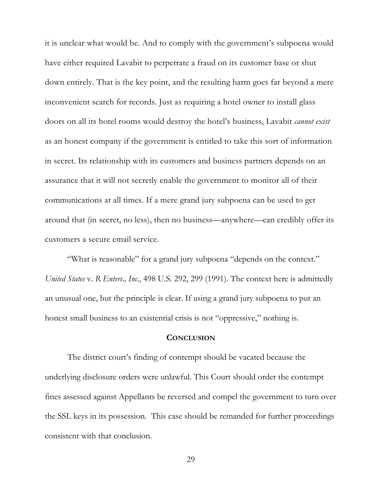it is unclear what would be. And to comply with the government's subpoena would have either required Lavabit to perpetrate a fraud on its customer base or shut down entirely. That is the key point, and the resulting harm goes far beyond a mere inconvenient search for records. Just as requiring a hotel owner to install glass doors on all its hotel rooms would destroy the hotel's business, Lavabit *cannot exist* as an honest company if the government is entitled to take this sort of information in secret. Its relationship with its customers and business partners depends on an assurance that it will not secretly enable the government to monitor all of their communications at all times. If a mere grand jury subpoena can be used to get around that (in secret, no less), then no business—anywhere—can credibly offer its customers a secure email service.

"What is reasonable" for a grand jury subpoena "depends on the context." United States v. R Enters., Inc., 498 U.S. 292, 299 (1991). The context here is admittedly an unusual one, but the principle is clear. If using a grand jury subpoena to put an honest small business to an existential crisis is not "oppressive," nothing is.

#### **CONCLUSION**

The district court's finding of contempt should be vacated because the underlying disclosure orders were unlawful. This Court should order the contempt fines assessed against Appellants be reversed and compel the government to turn over the SSL keys in its possession. This case should be remanded for further proceedings consistent with that conclusion.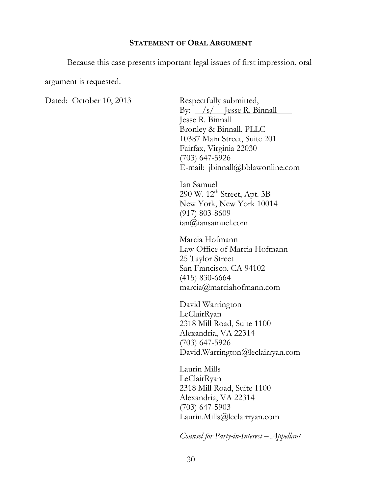#### **STATEMENT OF ORAL ARGUMENT**

Because this case presents important legal issues of first impression, oral

argument is requested.

Dated: October 10, 2013

Respectfully submitted, By:  $/s/$  Jesse R. Binnall Jesse R. Binnall Bronley & Binnall, PLLC 10387 Main Street, Suite 201 Fairfax, Virginia 22030  $(703)$  647-5926 E-mail:  $\phi$ jbinnall $\phi$ bblawonline.com

Ian Samuel 290 W. 12<sup>th</sup> Street, Apt. 3B New York, New York 10014  $(917) 803 - 8609$  $ian@iansamuel.com$ 

Marcia Hofmann Law Office of Marcia Hofmann 25 Taylor Street San Francisco, CA 94102  $(415)$  830-6664  $marcia(\theta)$  marciah of mann.com

David Warrington LeClairRyan 2318 Mill Road, Suite 1100 Alexandria, VA 22314  $(703)$  647-5926 David.Warrington@leclairryan.com

Laurin Mills LeClairRyan 2318 Mill Road, Suite 1100 Alexandria, VA 22314  $(703)$  647-5903 Laurin.Mills@leclairryan.com

Counsel for Party-in-Interest - Appellant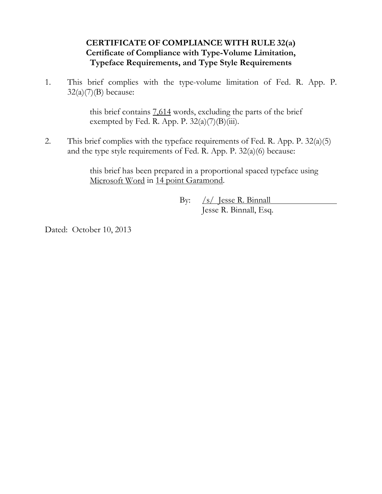## CERTIFICATE OF COMPLIANCE WITH RULE 32(a) Certificate of Compliance with Type-Volume Limitation, **Typeface Requirements, and Type Style Requirements**

This brief complies with the type-volume limitation of Fed. R. App. P.  $1.$  $32(a)(7)(B)$  because:

> this brief contains 7.614 words, excluding the parts of the brief exempted by Fed. R. App. P.  $32(a)(7)(B)(iii)$ .

2. This brief complies with the type face requirements of Fed. R. App. P.  $32(a)(5)$ and the type style requirements of Fed. R. App. P.  $32(a)(6)$  because:

> this brief has been prepared in a proportional spaced typeface using Microsoft Word in 14 point Garamond.

> > $\sqrt{s}$  lesse R. Binnall  $By:$ Jesse R. Binnall, Esq.

Dated: October 10, 2013